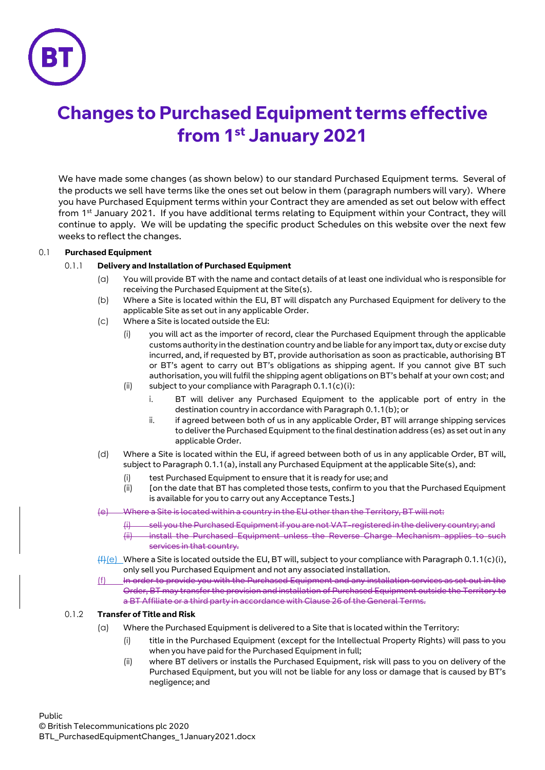

## **Changes to Purchased Equipment terms effective from 1st January 2021**

We have made some changes (as shown below) to our standard Purchased Equipment terms. Several of the products we sell have terms like the ones set out below in them (paragraph numbers will vary). Where you have Purchased Equipment terms within your Contract they are amended as set out below with effect from 1<sup>st</sup> January 2021. If you have additional terms relating to Equipment within your Contract, they will continue to apply. We will be updating the specific product Schedules on this website over the next few weeks to reflect the changes.

## 0.1 **Purchased Equipment**

## <span id="page-0-1"></span>0.1.1 **Delivery and Installation of Purchased Equipment**

- (a) You will provide BT with the name and contact details of at least one individual who is responsible for receiving the Purchased Equipment at the Site(s).
- (b) Where a Site is located within the EU, BT will dispatch any Purchased Equipment for delivery to the applicable Site as set out in any applicable Order.
- <span id="page-0-0"></span>(c) Where a Site is located outside the EU:
	- (i) you will act as the importer of record, clear the Purchased Equipment through the applicable customs authority in the destination country and be liable for any import tax, duty or excise duty incurred, and, if requested by BT, provide authorisation as soon as practicable, authorising BT or BT's agent to carry out BT's obligations as shipping agent. If you cannot give BT such authorisation, you will fulfil the shipping agent obligations on BT's behalf at your own cost; and
	- (ii) subject to your compliance with Paragraph  $0.1.1(c)(i)$ :
		- i. BT will deliver any Purchased Equipment to the applicable port of entry in the destination country in accordance with Paragrap[h 0.1.1\(b\);](#page-0-1) or
		- ii. if agreed between both of us in any applicable Order, BT will arrange shipping services to deliver the Purchased Equipment to the final destination address (es) as set out in any applicable Order.
- (d) Where a Site is located within the EU, if agreed between both of us in any applicable Order, BT will, subject to Paragrap[h 0.1.1\(a\),](#page-0-2) install any Purchased Equipment at the applicable Site(s), and:
	- (i) test Purchased Equipment to ensure that it is ready for use; and
	- (ii) [on the date that BT has completed those tests, confirm to you that the Purchased Equipment is available for you to carry out any Acceptance Tests.]

<span id="page-0-2"></span>Where a Site is located within a country in the EU other than the Territory, BT will not:

- (i) sell you the Purchased Equipment if you are not VAT-registered in the delivery country; and
- (ii) install the Purchased Equipment unless the Reverse Charge Mechanism applies to such services in that country.
- $(f)$ (e) Where a Site is located outside the EU, BT will, subject to your compliance with Paragraph 0.1.1(c)(i), only sell you Purchased Equipment and not any associated installation.
- (f) In order to provide you with the Purchased Equipment and any installation services as set out in the Order, BT may transfer the provision and installation of Purchased Equipment outside the Territory to a BT Affiliate or a third party in accordance with Clause 26 of the General Terms.

## 0.1.2 **Transfer of Title and Risk**

- (a) Where the Purchased Equipment is delivered to a Site that is located within the Territory:
	- (i) title in the Purchased Equipment (except for the Intellectual Property Rights) will pass to you when you have paid for the Purchased Equipment in full;
	- (ii) where BT delivers or installs the Purchased Equipment, risk will pass to you on delivery of the Purchased Equipment, but you will not be liable for any loss or damage that is caused by BT's negligence; and